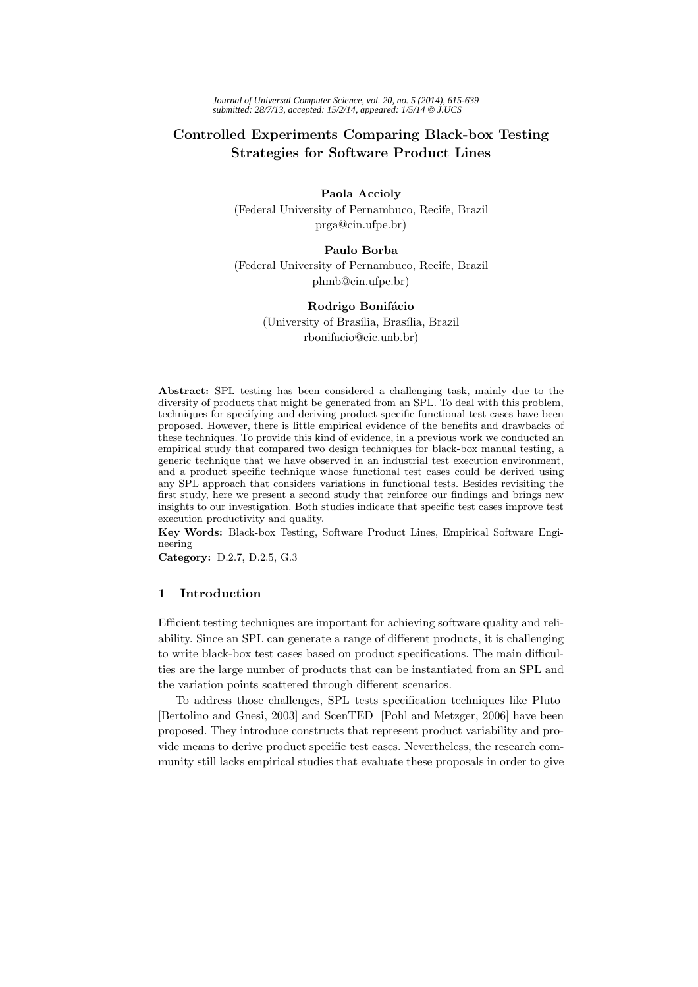# **Controlled Experiments Comparing Black-box Testing Strategies for Software Product Lines**

**Paola Accioly** (Federal University of Pernambuco, Recife, Brazil prga@cin.ufpe.br)

# **Paulo Borba**

(Federal University of Pernambuco, Recife, Brazil phmb@cin.ufpe.br)

## **Rodrigo Bonifácio**

(University of Brasília, Brasília, Brazil rbonifacio@cic.unb.br)

**Abstract:** SPL testing has been considered a challenging task, mainly due to the diversity of products that might be generated from an SPL. To deal with this problem, techniques for specifying and deriving product specific functional test cases have been proposed. However, there is little empirical evidence of the benefits and drawbacks of these techniques. To provide this kind of evidence, in a previous work we conducted an empirical study that compared two design techniques for black-box manual testing, a generic technique that we have observed in an industrial test execution environment, and a product specific technique whose functional test cases could be derived using any SPL approach that considers variations in functional tests. Besides revisiting the first study, here we present a second study that reinforce our findings and brings new insights to our investigation. Both studies indicate that specific test cases improve test execution productivity and quality.

**Key Words:** Black-box Testing, Software Product Lines, Empirical Software Engineering

**Category:** D.2.7, D.2.5, G.3

## **1 Introduction**

Efficient testing techniques are important for achieving software quality and reliability. Since an SPL can generate a range of different products, it is challenging to write black-box test cases based on product specifications. The main difficulties are the large number of products that can be instantiated from an SPL and the variation points scattered through different scenarios.

To address those challenges, SPL tests specification techniques like Pluto [Bertolino and Gnesi, 2003] and ScenTED [Pohl and Metzger, 2006] have been proposed. They introduce constructs that represent product variability and provide means to derive product specific test cases. Nevertheless, the research community still lacks empirical studies that evaluate these proposals in order to give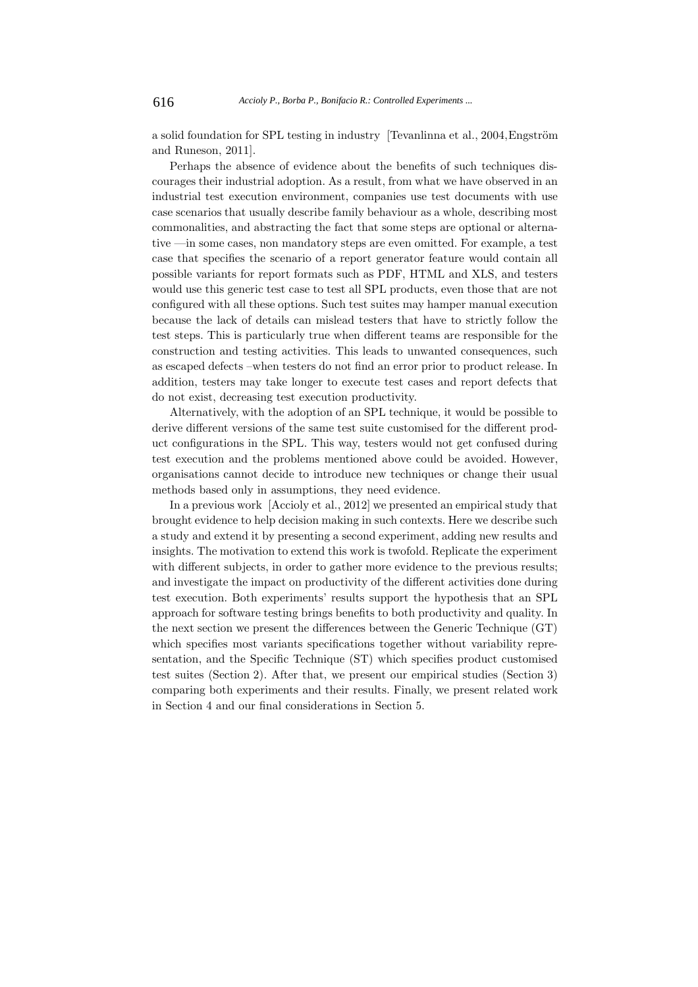a solid foundation for SPL testing in industry [Tevanlinna et al., 2004, Engström and Runeson, 2011].

Perhaps the absence of evidence about the benefits of such techniques discourages their industrial adoption. As a result, from what we have observed in an industrial test execution environment, companies use test documents with use case scenarios that usually describe family behaviour as a whole, describing most commonalities, and abstracting the fact that some steps are optional or alternative —in some cases, non mandatory steps are even omitted. For example, a test case that specifies the scenario of a report generator feature would contain all possible variants for report formats such as PDF, HTML and XLS, and testers would use this generic test case to test all SPL products, even those that are not configured with all these options. Such test suites may hamper manual execution because the lack of details can mislead testers that have to strictly follow the test steps. This is particularly true when different teams are responsible for the construction and testing activities. This leads to unwanted consequences, such as escaped defects –when testers do not find an error prior to product release. In addition, testers may take longer to execute test cases and report defects that do not exist, decreasing test execution productivity.

Alternatively, with the adoption of an SPL technique, it would be possible to derive different versions of the same test suite customised for the different product configurations in the SPL. This way, testers would not get confused during test execution and the problems mentioned above could be avoided. However, organisations cannot decide to introduce new techniques or change their usual methods based only in assumptions, they need evidence.

In a previous work [Accioly et al., 2012] we presented an empirical study that brought evidence to help decision making in such contexts. Here we describe such a study and extend it by presenting a second experiment, adding new results and insights. The motivation to extend this work is twofold. Replicate the experiment with different subjects, in order to gather more evidence to the previous results; and investigate the impact on productivity of the different activities done during test execution. Both experiments' results support the hypothesis that an SPL approach for software testing brings benefits to both productivity and quality. In the next section we present the differences between the Generic Technique (GT) which specifies most variants specifications together without variability representation, and the Specific Technique (ST) which specifies product customised test suites (Section 2). After that, we present our empirical studies (Section 3) comparing both experiments and their results. Finally, we present related work in Section 4 and our final considerations in Section 5.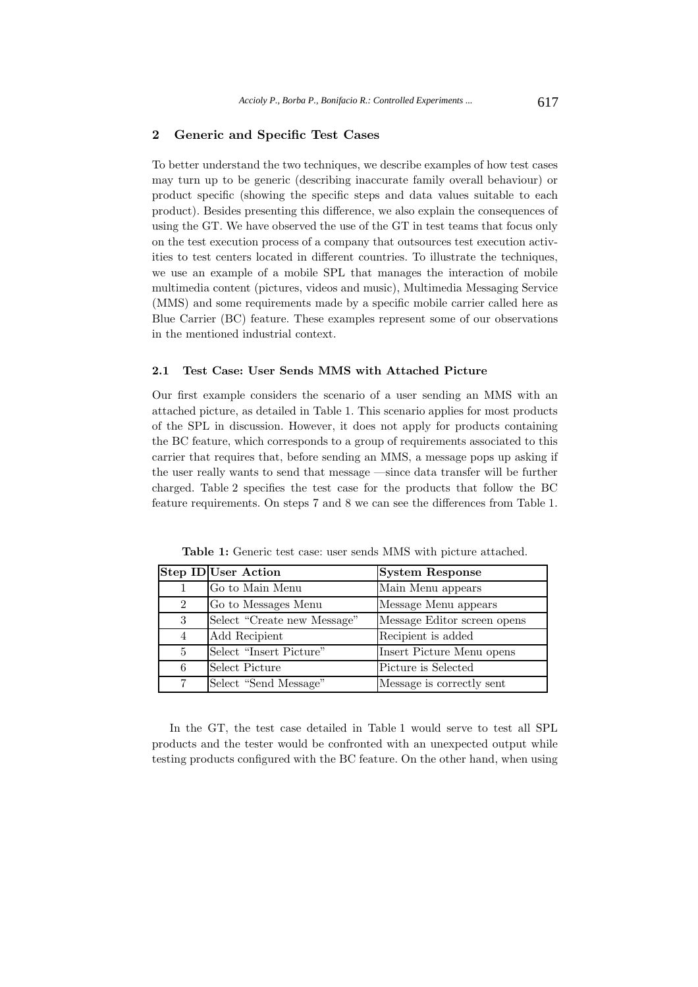# **2 Generic and Specific Test Cases**

To better understand the two techniques, we describe examples of how test cases may turn up to be generic (describing inaccurate family overall behaviour) or product specific (showing the specific steps and data values suitable to each product). Besides presenting this difference, we also explain the consequences of using the GT. We have observed the use of the GT in test teams that focus only on the test execution process of a company that outsources test execution activities to test centers located in different countries. To illustrate the techniques, we use an example of a mobile SPL that manages the interaction of mobile multimedia content (pictures, videos and music), Multimedia Messaging Service (MMS) and some requirements made by a specific mobile carrier called here as Blue Carrier (BC) feature. These examples represent some of our observations in the mentioned industrial context.

#### **2.1 Test Case: User Sends MMS with Attached Picture**

Our first example considers the scenario of a user sending an MMS with an attached picture, as detailed in Table 1. This scenario applies for most products of the SPL in discussion. However, it does not apply for products containing the BC feature, which corresponds to a group of requirements associated to this carrier that requires that, before sending an MMS, a message pops up asking if the user really wants to send that message —since data transfer will be further charged. Table 2 specifies the test case for the products that follow the BC feature requirements. On steps 7 and 8 we can see the differences from Table 1.

|                | <b>Step ID</b> User Action  | <b>System Response</b>      |
|----------------|-----------------------------|-----------------------------|
|                | Go to Main Menu             | Main Menu appears           |
| $\overline{2}$ | Go to Messages Menu         | Message Menu appears        |
| 3              | Select "Create new Message" | Message Editor screen opens |
| $\overline{4}$ | Add Recipient               | Recipient is added          |
| $\overline{5}$ | Select "Insert Picture"     | Insert Picture Menu opens   |
| 6              | Select Picture              | Picture is Selected         |
| 7              | Select "Send Message"       | Message is correctly sent   |

**Table 1:** Generic test case: user sends MMS with picture attached.

In the GT, the test case detailed in Table 1 would serve to test all SPL products and the tester would be confronted with an unexpected output while testing products configured with the BC feature. On the other hand, when using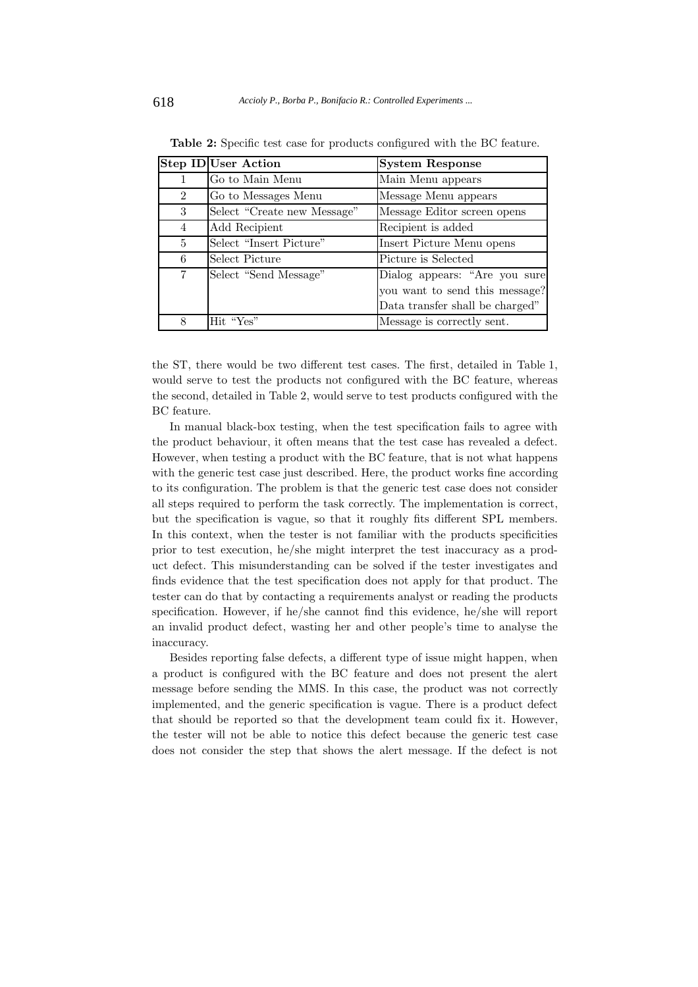|                | <b>Step ID User Action</b>  | <b>System Response</b>          |
|----------------|-----------------------------|---------------------------------|
| 1              | Go to Main Menu             | Main Menu appears               |
| $\overline{2}$ | Go to Messages Menu         | Message Menu appears            |
| 3              | Select "Create new Message" | Message Editor screen opens     |
| 4              | Add Recipient               | Recipient is added              |
| 5              | Select "Insert Picture"     | Insert Picture Menu opens       |
| 6              | Select Picture              | Picture is Selected             |
| 7              | Select "Send Message"       | Dialog appears: "Are you sure   |
|                |                             | you want to send this message?  |
|                |                             | Data transfer shall be charged" |
| 8              | Hit "Yes"                   | Message is correctly sent.      |

**Table 2:** Specific test case for products configured with the BC feature.

the ST, there would be two different test cases. The first, detailed in Table 1, would serve to test the products not configured with the BC feature, whereas the second, detailed in Table 2, would serve to test products configured with the BC feature.

In manual black-box testing, when the test specification fails to agree with the product behaviour, it often means that the test case has revealed a defect. However, when testing a product with the BC feature, that is not what happens with the generic test case just described. Here, the product works fine according to its configuration. The problem is that the generic test case does not consider all steps required to perform the task correctly. The implementation is correct, but the specification is vague, so that it roughly fits different SPL members. In this context, when the tester is not familiar with the products specificities prior to test execution, he/she might interpret the test inaccuracy as a product defect. This misunderstanding can be solved if the tester investigates and finds evidence that the test specification does not apply for that product. The tester can do that by contacting a requirements analyst or reading the products specification. However, if he/she cannot find this evidence, he/she will report an invalid product defect, wasting her and other people's time to analyse the inaccuracy.

Besides reporting false defects, a different type of issue might happen, when a product is configured with the BC feature and does not present the alert message before sending the MMS. In this case, the product was not correctly implemented, and the generic specification is vague. There is a product defect that should be reported so that the development team could fix it. However, the tester will not be able to notice this defect because the generic test case does not consider the step that shows the alert message. If the defect is not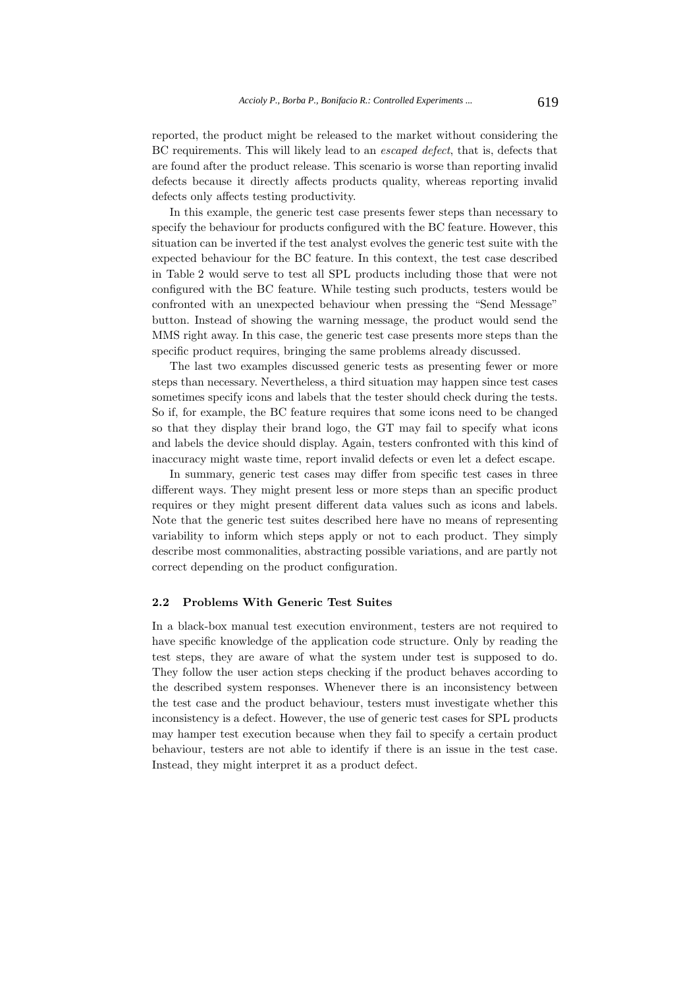reported, the product might be released to the market without considering the BC requirements. This will likely lead to an *escaped defect*, that is, defects that are found after the product release. This scenario is worse than reporting invalid defects because it directly affects products quality, whereas reporting invalid defects only affects testing productivity.

In this example, the generic test case presents fewer steps than necessary to specify the behaviour for products configured with the BC feature. However, this situation can be inverted if the test analyst evolves the generic test suite with the expected behaviour for the BC feature. In this context, the test case described in Table 2 would serve to test all SPL products including those that were not configured with the BC feature. While testing such products, testers would be confronted with an unexpected behaviour when pressing the "Send Message" button. Instead of showing the warning message, the product would send the MMS right away. In this case, the generic test case presents more steps than the specific product requires, bringing the same problems already discussed.

The last two examples discussed generic tests as presenting fewer or more steps than necessary. Nevertheless, a third situation may happen since test cases sometimes specify icons and labels that the tester should check during the tests. So if, for example, the BC feature requires that some icons need to be changed so that they display their brand logo, the GT may fail to specify what icons and labels the device should display. Again, testers confronted with this kind of inaccuracy might waste time, report invalid defects or even let a defect escape.

In summary, generic test cases may differ from specific test cases in three different ways. They might present less or more steps than an specific product requires or they might present different data values such as icons and labels. Note that the generic test suites described here have no means of representing variability to inform which steps apply or not to each product. They simply describe most commonalities, abstracting possible variations, and are partly not correct depending on the product configuration.

## **2.2 Problems With Generic Test Suites**

In a black-box manual test execution environment, testers are not required to have specific knowledge of the application code structure. Only by reading the test steps, they are aware of what the system under test is supposed to do. They follow the user action steps checking if the product behaves according to the described system responses. Whenever there is an inconsistency between the test case and the product behaviour, testers must investigate whether this inconsistency is a defect. However, the use of generic test cases for SPL products may hamper test execution because when they fail to specify a certain product behaviour, testers are not able to identify if there is an issue in the test case. Instead, they might interpret it as a product defect.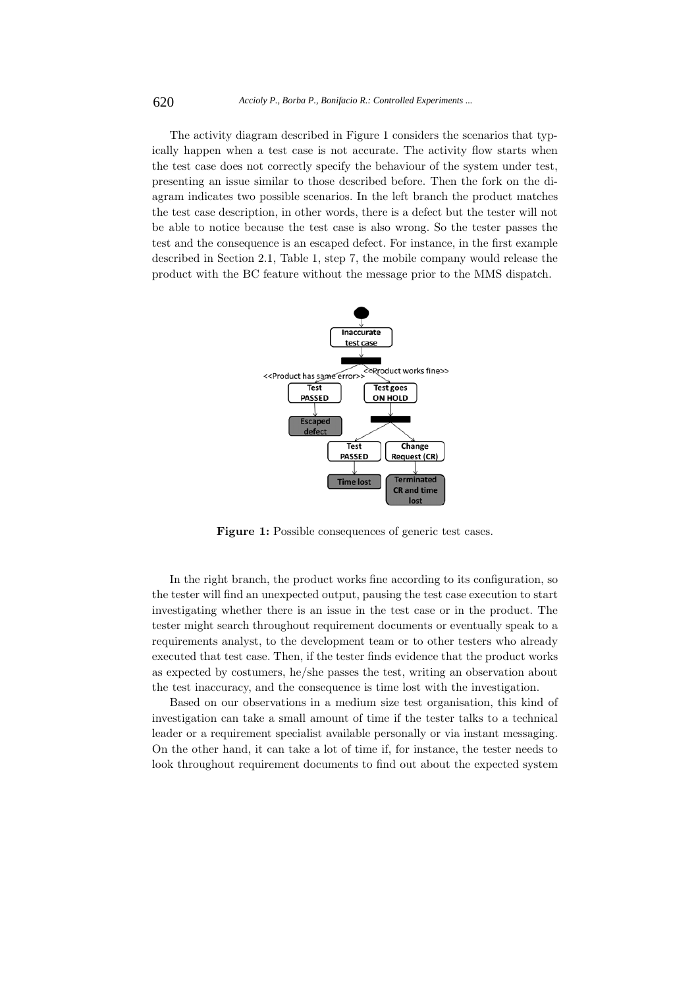The activity diagram described in Figure 1 considers the scenarios that typically happen when a test case is not accurate. The activity flow starts when the test case does not correctly specify the behaviour of the system under test, presenting an issue similar to those described before. Then the fork on the diagram indicates two possible scenarios. In the left branch the product matches the test case description, in other words, there is a defect but the tester will not be able to notice because the test case is also wrong. So the tester passes the test and the consequence is an escaped defect. For instance, in the first example described in Section 2.1, Table 1, step 7, the mobile company would release the product with the BC feature without the message prior to the MMS dispatch.



Figure 1: Possible consequences of generic test cases.

In the right branch, the product works fine according to its configuration, so the tester will find an unexpected output, pausing the test case execution to start investigating whether there is an issue in the test case or in the product. The tester might search throughout requirement documents or eventually speak to a requirements analyst, to the development team or to other testers who already executed that test case. Then, if the tester finds evidence that the product works as expected by costumers, he/she passes the test, writing an observation about the test inaccuracy, and the consequence is time lost with the investigation.

Based on our observations in a medium size test organisation, this kind of investigation can take a small amount of time if the tester talks to a technical leader or a requirement specialist available personally or via instant messaging. On the other hand, it can take a lot of time if, for instance, the tester needs to look throughout requirement documents to find out about the expected system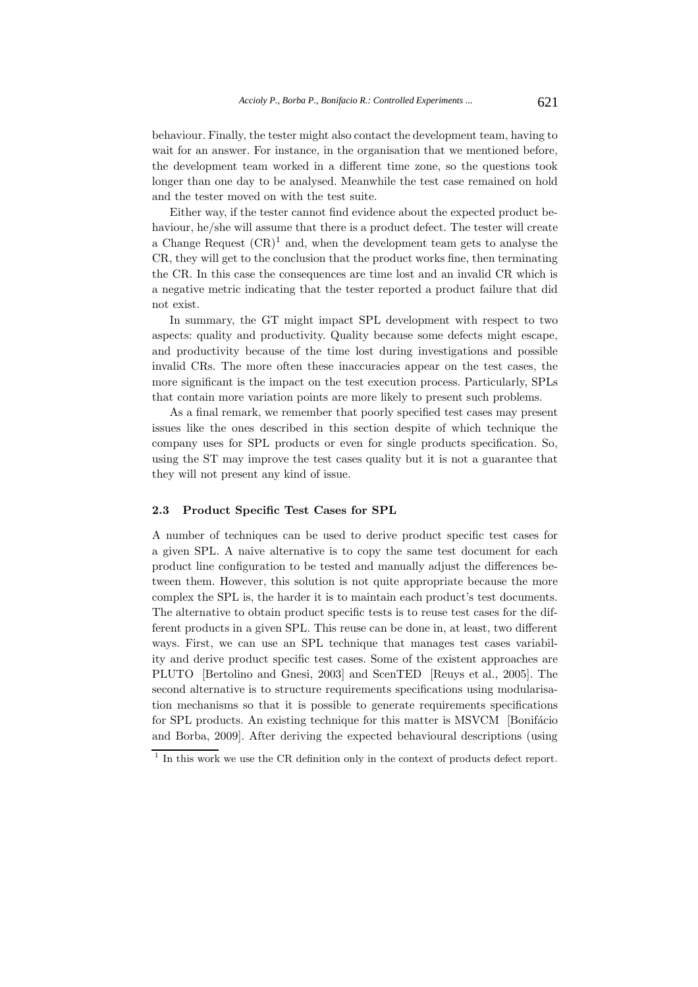behaviour. Finally, the tester might also contact the development team, having to wait for an answer. For instance, in the organisation that we mentioned before, the development team worked in a different time zone, so the questions took longer than one day to be analysed. Meanwhile the test case remained on hold and the tester moved on with the test suite.

Either way, if the tester cannot find evidence about the expected product behaviour, he/she will assume that there is a product defect. The tester will create a Change Request  $(CR)^1$  and, when the development team gets to analyse the CR, they will get to the conclusion that the product works fine, then terminating the CR. In this case the consequences are time lost and an invalid CR which is a negative metric indicating that the tester reported a product failure that did not exist.

In summary, the GT might impact SPL development with respect to two aspects: quality and productivity. Quality because some defects might escape, and productivity because of the time lost during investigations and possible invalid CRs. The more often these inaccuracies appear on the test cases, the more significant is the impact on the test execution process. Particularly, SPLs that contain more variation points are more likely to present such problems.

As a final remark, we remember that poorly specified test cases may present issues like the ones described in this section despite of which technique the company uses for SPL products or even for single products specification. So, using the ST may improve the test cases quality but it is not a guarantee that they will not present any kind of issue.

#### **2.3 Product Specific Test Cases for SPL**

A number of techniques can be used to derive product specific test cases for a given SPL. A naive alternative is to copy the same test document for each product line configuration to be tested and manually adjust the differences between them. However, this solution is not quite appropriate because the more complex the SPL is, the harder it is to maintain each product's test documents. The alternative to obtain product specific tests is to reuse test cases for the different products in a given SPL. This reuse can be done in, at least, two different ways. First, we can use an SPL technique that manages test cases variability and derive product specific test cases. Some of the existent approaches are PLUTO [Bertolino and Gnesi, 2003] and ScenTED [Reuys et al., 2005]. The second alternative is to structure requirements specifications using modularisation mechanisms so that it is possible to generate requirements specifications for SPL products. An existing technique for this matter is MSVCM [Bonifácio] and Borba, 2009]. After deriving the expected behavioural descriptions (using

 $\frac{1}{1}$  In this work we use the CR definition only in the context of products defect report.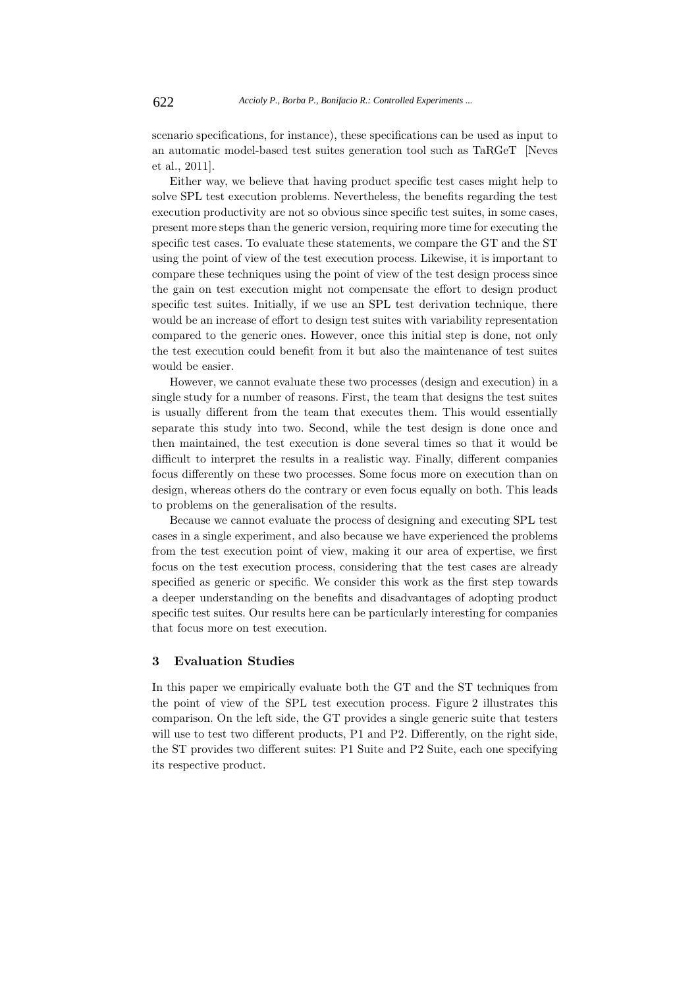scenario specifications, for instance), these specifications can be used as input to an automatic model-based test suites generation tool such as TaRGeT [Neves et al., 2011].

Either way, we believe that having product specific test cases might help to solve SPL test execution problems. Nevertheless, the benefits regarding the test execution productivity are not so obvious since specific test suites, in some cases, present more steps than the generic version, requiring more time for executing the specific test cases. To evaluate these statements, we compare the GT and the ST using the point of view of the test execution process. Likewise, it is important to compare these techniques using the point of view of the test design process since the gain on test execution might not compensate the effort to design product specific test suites. Initially, if we use an SPL test derivation technique, there would be an increase of effort to design test suites with variability representation compared to the generic ones. However, once this initial step is done, not only the test execution could benefit from it but also the maintenance of test suites would be easier.

However, we cannot evaluate these two processes (design and execution) in a single study for a number of reasons. First, the team that designs the test suites is usually different from the team that executes them. This would essentially separate this study into two. Second, while the test design is done once and then maintained, the test execution is done several times so that it would be difficult to interpret the results in a realistic way. Finally, different companies focus differently on these two processes. Some focus more on execution than on design, whereas others do the contrary or even focus equally on both. This leads to problems on the generalisation of the results.

Because we cannot evaluate the process of designing and executing SPL test cases in a single experiment, and also because we have experienced the problems from the test execution point of view, making it our area of expertise, we first focus on the test execution process, considering that the test cases are already specified as generic or specific. We consider this work as the first step towards a deeper understanding on the benefits and disadvantages of adopting product specific test suites. Our results here can be particularly interesting for companies that focus more on test execution.

# **3 Evaluation Studies**

In this paper we empirically evaluate both the GT and the ST techniques from the point of view of the SPL test execution process. Figure 2 illustrates this comparison. On the left side, the GT provides a single generic suite that testers will use to test two different products, P1 and P2. Differently, on the right side, the ST provides two different suites: P1 Suite and P2 Suite, each one specifying its respective product.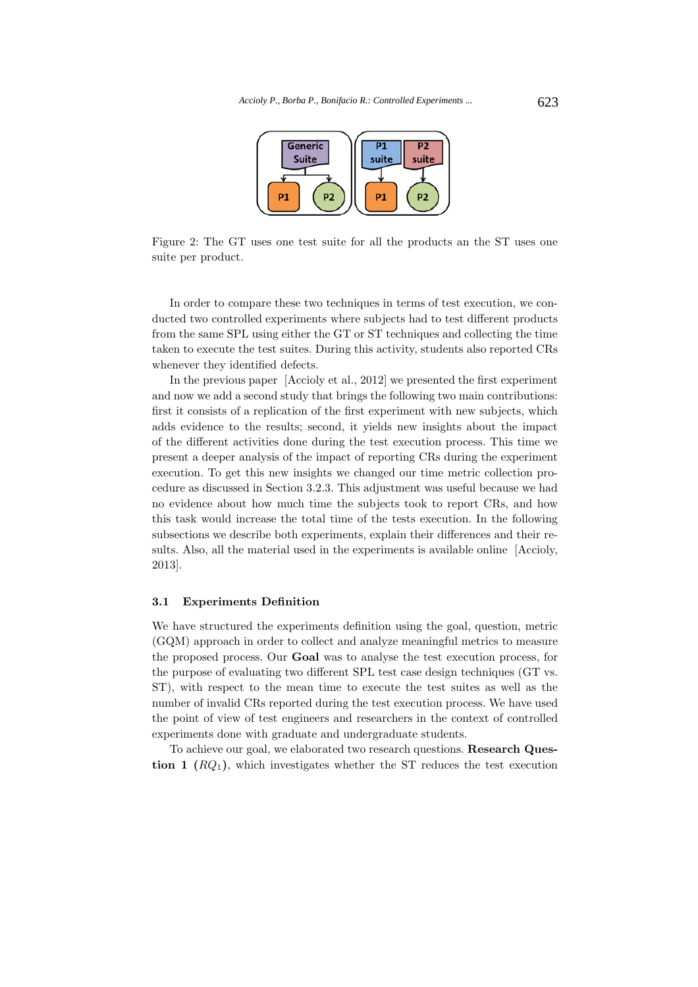

Figure 2: The GT uses one test suite for all the products an the ST uses one suite per product.

In order to compare these two techniques in terms of test execution, we conducted two controlled experiments where subjects had to test different products from the same SPL using either the GT or ST techniques and collecting the time taken to execute the test suites. During this activity, students also reported CRs whenever they identified defects.

In the previous paper [Accioly et al., 2012] we presented the first experiment and now we add a second study that brings the following two main contributions: first it consists of a replication of the first experiment with new subjects, which adds evidence to the results; second, it yields new insights about the impact of the different activities done during the test execution process. This time we present a deeper analysis of the impact of reporting CRs during the experiment execution. To get this new insights we changed our time metric collection procedure as discussed in Section 3.2.3. This adjustment was useful because we had no evidence about how much time the subjects took to report CRs, and how this task would increase the total time of the tests execution. In the following subsections we describe both experiments, explain their differences and their results. Also, all the material used in the experiments is available online [Accioly, 2013].

#### **3.1 Experiments Definition**

We have structured the experiments definition using the goal, question, metric (GQM) approach in order to collect and analyze meaningful metrics to measure the proposed process. Our **Goal** was to analyse the test execution process, for the purpose of evaluating two different SPL test case design techniques (GT vs. ST), with respect to the mean time to execute the test suites as well as the number of invalid CRs reported during the test execution process. We have used the point of view of test engineers and researchers in the context of controlled experiments done with graduate and undergraduate students.

To achieve our goal, we elaborated two research questions. **Research Question 1**  $(RQ_1)$ , which investigates whether the ST reduces the test execution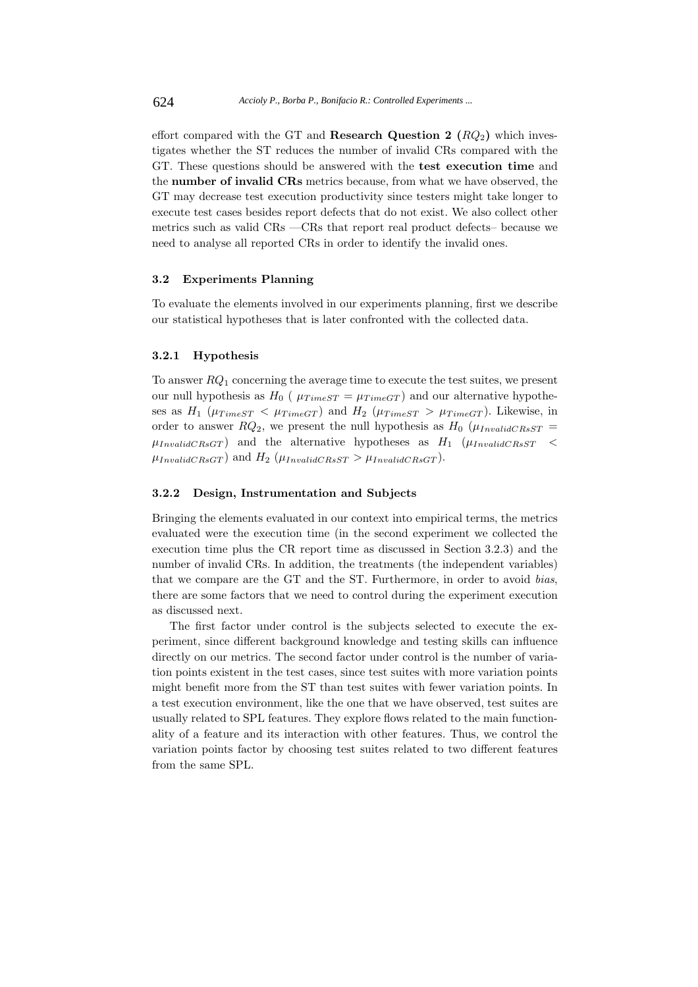effort compared with the GT and **Research Question 2**  $(RQ_2)$  which investigates whether the ST reduces the number of invalid CRs compared with the GT. These questions should be answered with the **test execution time** and the **number of invalid CRs** metrics because, from what we have observed, the GT may decrease test execution productivity since testers might take longer to execute test cases besides report defects that do not exist. We also collect other metrics such as valid CRs —CRs that report real product defects– because we need to analyse all reported CRs in order to identify the invalid ones.

## **3.2 Experiments Planning**

To evaluate the elements involved in our experiments planning, first we describe our statistical hypotheses that is later confronted with the collected data.

## **3.2.1 Hypothesis**

To answer *RQ*<sup>1</sup> concerning the average time to execute the test suites, we present our null hypothesis as  $H_0$  ( $\mu_{TimeST} = \mu_{TimeGT}$ ) and our alternative hypotheses as  $H_1$  ( $\mu_{TimeST} < \mu_{TimeGT}$ ) and  $H_2$  ( $\mu_{TimeST} > \mu_{TimeGT}$ ). Likewise, in order to answer  $RQ_2$ , we present the null hypothesis as  $H_0$  ( $\mu_{InvalidCRSST}$  =  $\mu_{InvalidCRsGT}$  and the alternative hypotheses as  $H_1$  ( $\mu_{InvalidCRsST}$  <  $\mu_{InvalidCRsGT}$  and  $H_2$  ( $\mu_{InvalidCRsST} > \mu_{InvalidCRsGT}$ ).

#### **3.2.2 Design, Instrumentation and Subjects**

Bringing the elements evaluated in our context into empirical terms, the metrics evaluated were the execution time (in the second experiment we collected the execution time plus the CR report time as discussed in Section 3.2.3) and the number of invalid CRs. In addition, the treatments (the independent variables) that we compare are the GT and the ST. Furthermore, in order to avoid *bias*, there are some factors that we need to control during the experiment execution as discussed next.

The first factor under control is the subjects selected to execute the experiment, since different background knowledge and testing skills can influence directly on our metrics. The second factor under control is the number of variation points existent in the test cases, since test suites with more variation points might benefit more from the ST than test suites with fewer variation points. In a test execution environment, like the one that we have observed, test suites are usually related to SPL features. They explore flows related to the main functionality of a feature and its interaction with other features. Thus, we control the variation points factor by choosing test suites related to two different features from the same SPL.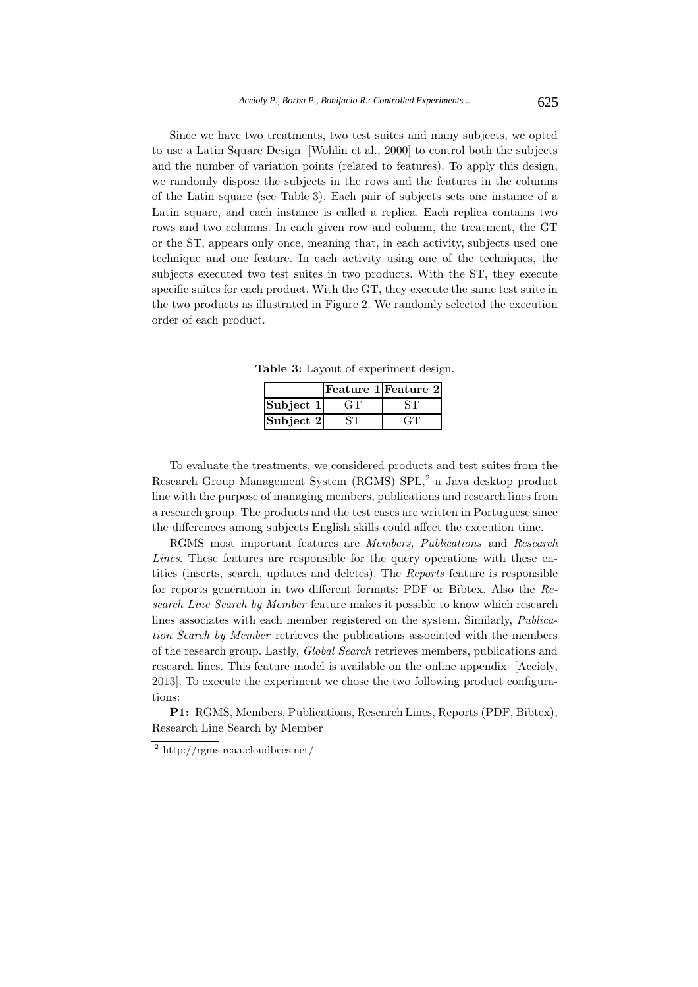Since we have two treatments, two test suites and many subjects, we opted to use a Latin Square Design [Wohlin et al., 2000] to control both the subjects and the number of variation points (related to features). To apply this design, we randomly dispose the subjects in the rows and the features in the columns of the Latin square (see Table 3). Each pair of subjects sets one instance of a Latin square, and each instance is called a replica. Each replica contains two rows and two columns. In each given row and column, the treatment, the GT or the ST, appears only once, meaning that, in each activity, subjects used one technique and one feature. In each activity using one of the techniques, the subjects executed two test suites in two products. With the ST, they execute specific suites for each product. With the GT, they execute the same test suite in the two products as illustrated in Figure 2. We randomly selected the execution order of each product.

**Table 3:** Layout of experiment design.

|           | Feature 1 Feature 2 |
|-----------|---------------------|
| Subject 1 |                     |
| Subject 2 | - 11                |

To evaluate the treatments, we considered products and test suites from the Research Group Management System (RGMS) SPL,<sup>2</sup> a Java desktop product line with the purpose of managing members, publications and research lines from a research group. The products and the test cases are written in Portuguese since the differences among subjects English skills could affect the execution time.

RGMS most important features are *Members*, *Publications* and *Research Lines*. These features are responsible for the query operations with these entities (inserts, search, updates and deletes). The *Reports* feature is responsible for reports generation in two different formats: PDF or Bibtex. Also the *Research Line Search by Member* feature makes it possible to know which research lines associates with each member registered on the system. Similarly, *Publication Search by Member* retrieves the publications associated with the members of the research group. Lastly, *Global Search* retrieves members, publications and research lines. This feature model is available on the online appendix [Accioly, 2013]. To execute the experiment we chose the two following product configurations:

**P1:** RGMS, Members, Publications, Research Lines, Reports (PDF, Bibtex), Research Line Search by Member

 $\sqrt{2 \frac{1}{2} \frac{1}{2}}$ http://rgms.rcaa.cloudbees.net/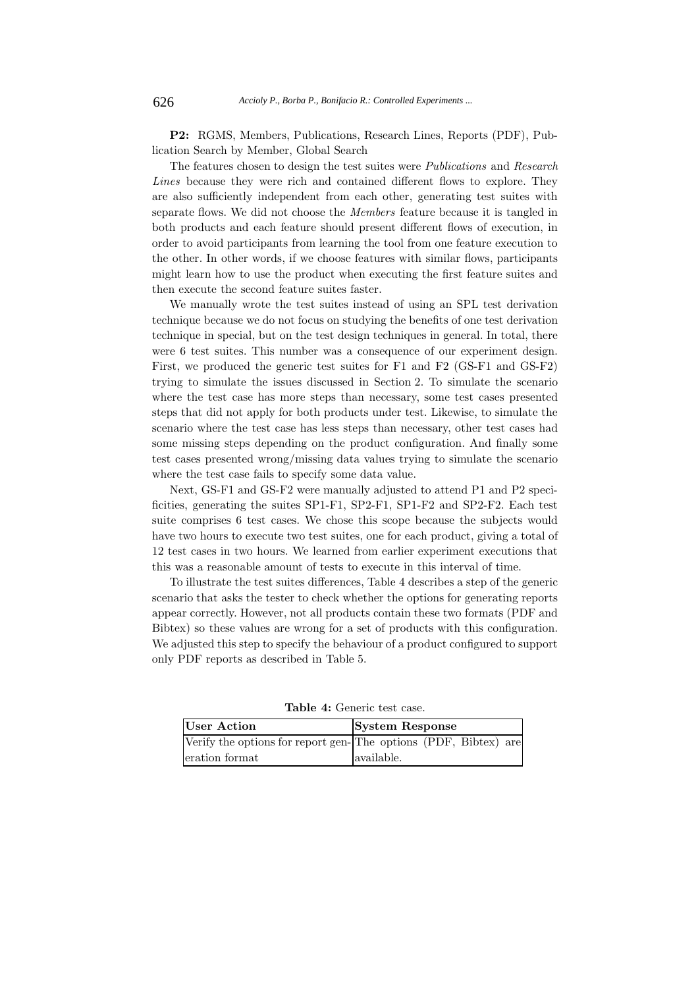**P2:** RGMS, Members, Publications, Research Lines, Reports (PDF), Publication Search by Member, Global Search

The features chosen to design the test suites were *Publications* and *Research Lines* because they were rich and contained different flows to explore. They are also sufficiently independent from each other, generating test suites with separate flows. We did not choose the *Members* feature because it is tangled in both products and each feature should present different flows of execution, in order to avoid participants from learning the tool from one feature execution to the other. In other words, if we choose features with similar flows, participants might learn how to use the product when executing the first feature suites and then execute the second feature suites faster.

We manually wrote the test suites instead of using an SPL test derivation technique because we do not focus on studying the benefits of one test derivation technique in special, but on the test design techniques in general. In total, there were 6 test suites. This number was a consequence of our experiment design. First, we produced the generic test suites for F1 and F2 (GS-F1 and GS-F2) trying to simulate the issues discussed in Section 2. To simulate the scenario where the test case has more steps than necessary, some test cases presented steps that did not apply for both products under test. Likewise, to simulate the scenario where the test case has less steps than necessary, other test cases had some missing steps depending on the product configuration. And finally some test cases presented wrong/missing data values trying to simulate the scenario where the test case fails to specify some data value.

Next, GS-F1 and GS-F2 were manually adjusted to attend P1 and P2 specificities, generating the suites SP1-F1, SP2-F1, SP1-F2 and SP2-F2. Each test suite comprises 6 test cases. We chose this scope because the subjects would have two hours to execute two test suites, one for each product, giving a total of 12 test cases in two hours. We learned from earlier experiment executions that this was a reasonable amount of tests to execute in this interval of time.

To illustrate the test suites differences, Table 4 describes a step of the generic scenario that asks the tester to check whether the options for generating reports appear correctly. However, not all products contain these two formats (PDF and Bibtex) so these values are wrong for a set of products with this configuration. We adjusted this step to specify the behaviour of a product configured to support only PDF reports as described in Table 5.

| User Action                                                     | <b>System Response</b> |  |  |  |
|-----------------------------------------------------------------|------------------------|--|--|--|
| Verify the options for report gen-The options (PDF, Bibtex) are |                        |  |  |  |
| eration format                                                  | available.             |  |  |  |

**Table 4:** Generic test case.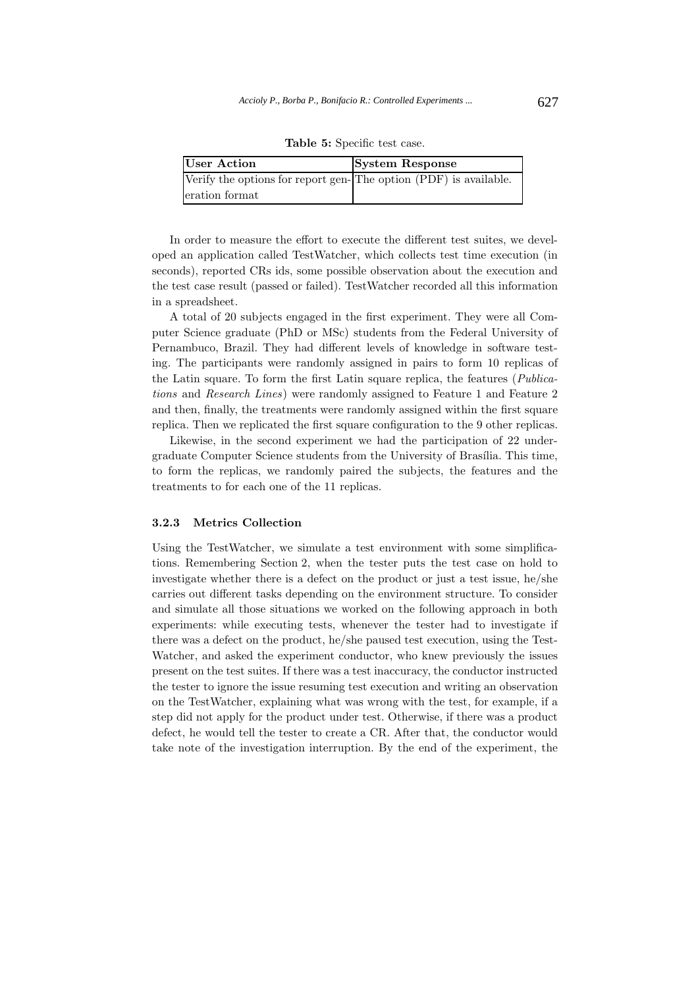| User Action                                                      | <b>System Response</b> |
|------------------------------------------------------------------|------------------------|
| Verify the options for report gen-The option (PDF) is available. |                        |
| eration format                                                   |                        |

**Table 5:** Specific test case.

In order to measure the effort to execute the different test suites, we developed an application called TestWatcher, which collects test time execution (in seconds), reported CRs ids, some possible observation about the execution and the test case result (passed or failed). TestWatcher recorded all this information in a spreadsheet.

A total of 20 subjects engaged in the first experiment. They were all Computer Science graduate (PhD or MSc) students from the Federal University of Pernambuco, Brazil. They had different levels of knowledge in software testing. The participants were randomly assigned in pairs to form 10 replicas of the Latin square. To form the first Latin square replica, the features (*Publications* and *Research Lines*) were randomly assigned to Feature 1 and Feature 2 and then, finally, the treatments were randomly assigned within the first square replica. Then we replicated the first square configuration to the 9 other replicas.

Likewise, in the second experiment we had the participation of 22 undergraduate Computer Science students from the University of Brasília. This time, to form the replicas, we randomly paired the subjects, the features and the treatments to for each one of the 11 replicas.

## **3.2.3 Metrics Collection**

Using the TestWatcher, we simulate a test environment with some simplifications. Remembering Section 2, when the tester puts the test case on hold to investigate whether there is a defect on the product or just a test issue, he/she carries out different tasks depending on the environment structure. To consider and simulate all those situations we worked on the following approach in both experiments: while executing tests, whenever the tester had to investigate if there was a defect on the product, he/she paused test execution, using the Test-Watcher, and asked the experiment conductor, who knew previously the issues present on the test suites. If there was a test inaccuracy, the conductor instructed the tester to ignore the issue resuming test execution and writing an observation on the TestWatcher, explaining what was wrong with the test, for example, if a step did not apply for the product under test. Otherwise, if there was a product defect, he would tell the tester to create a CR. After that, the conductor would take note of the investigation interruption. By the end of the experiment, the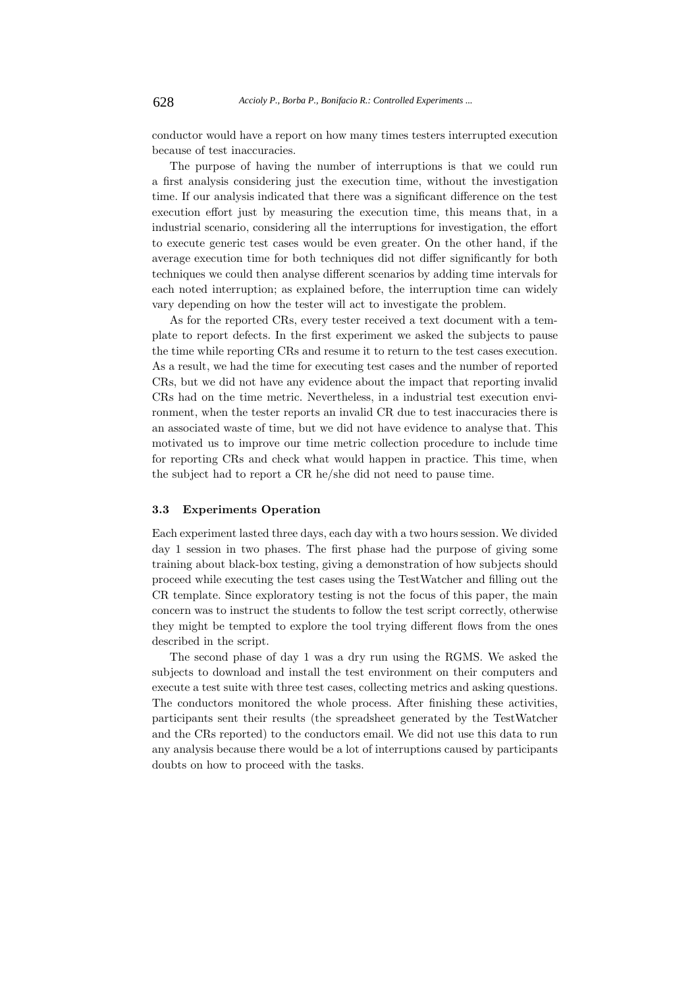conductor would have a report on how many times testers interrupted execution because of test inaccuracies.

The purpose of having the number of interruptions is that we could run a first analysis considering just the execution time, without the investigation time. If our analysis indicated that there was a significant difference on the test execution effort just by measuring the execution time, this means that, in a industrial scenario, considering all the interruptions for investigation, the effort to execute generic test cases would be even greater. On the other hand, if the average execution time for both techniques did not differ significantly for both techniques we could then analyse different scenarios by adding time intervals for each noted interruption; as explained before, the interruption time can widely vary depending on how the tester will act to investigate the problem.

As for the reported CRs, every tester received a text document with a template to report defects. In the first experiment we asked the subjects to pause the time while reporting CRs and resume it to return to the test cases execution. As a result, we had the time for executing test cases and the number of reported CRs, but we did not have any evidence about the impact that reporting invalid CRs had on the time metric. Nevertheless, in a industrial test execution environment, when the tester reports an invalid CR due to test inaccuracies there is an associated waste of time, but we did not have evidence to analyse that. This motivated us to improve our time metric collection procedure to include time for reporting CRs and check what would happen in practice. This time, when the subject had to report a CR he/she did not need to pause time.

## **3.3 Experiments Operation**

Each experiment lasted three days, each day with a two hours session. We divided day 1 session in two phases. The first phase had the purpose of giving some training about black-box testing, giving a demonstration of how subjects should proceed while executing the test cases using the TestWatcher and filling out the CR template. Since exploratory testing is not the focus of this paper, the main concern was to instruct the students to follow the test script correctly, otherwise they might be tempted to explore the tool trying different flows from the ones described in the script.

The second phase of day 1 was a dry run using the RGMS. We asked the subjects to download and install the test environment on their computers and execute a test suite with three test cases, collecting metrics and asking questions. The conductors monitored the whole process. After finishing these activities, participants sent their results (the spreadsheet generated by the TestWatcher and the CRs reported) to the conductors email. We did not use this data to run any analysis because there would be a lot of interruptions caused by participants doubts on how to proceed with the tasks.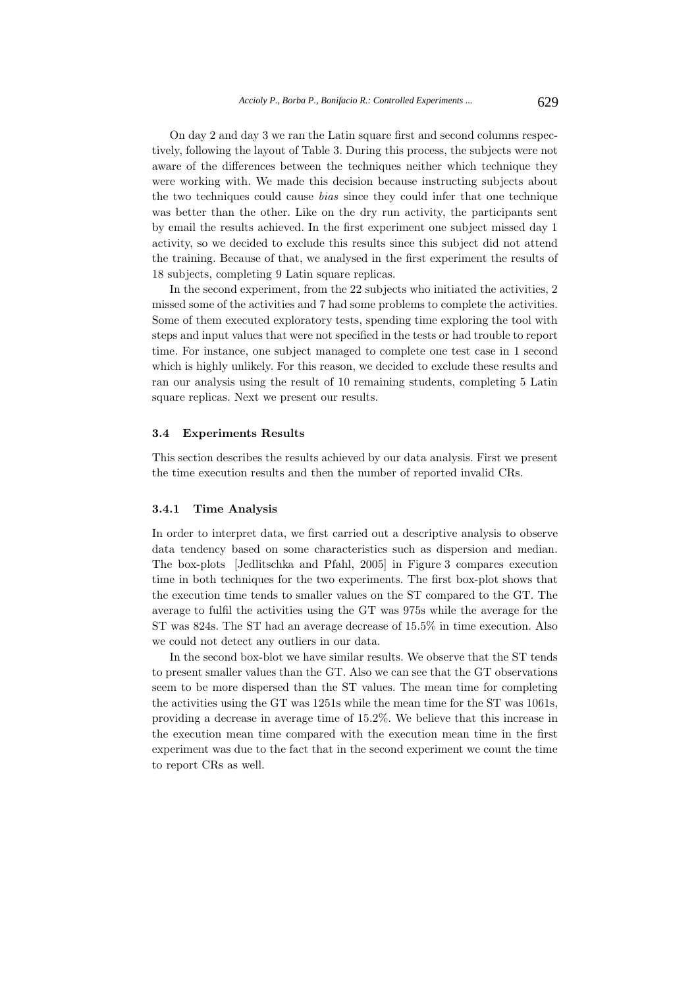On day 2 and day 3 we ran the Latin square first and second columns respectively, following the layout of Table 3. During this process, the subjects were not aware of the differences between the techniques neither which technique they were working with. We made this decision because instructing subjects about the two techniques could cause *bias* since they could infer that one technique was better than the other. Like on the dry run activity, the participants sent by email the results achieved. In the first experiment one subject missed day 1 activity, so we decided to exclude this results since this subject did not attend the training. Because of that, we analysed in the first experiment the results of 18 subjects, completing 9 Latin square replicas.

In the second experiment, from the 22 subjects who initiated the activities, 2 missed some of the activities and 7 had some problems to complete the activities. Some of them executed exploratory tests, spending time exploring the tool with steps and input values that were not specified in the tests or had trouble to report time. For instance, one subject managed to complete one test case in 1 second which is highly unlikely. For this reason, we decided to exclude these results and ran our analysis using the result of 10 remaining students, completing 5 Latin square replicas. Next we present our results.

#### **3.4 Experiments Results**

This section describes the results achieved by our data analysis. First we present the time execution results and then the number of reported invalid CRs.

#### **3.4.1 Time Analysis**

In order to interpret data, we first carried out a descriptive analysis to observe data tendency based on some characteristics such as dispersion and median. The box-plots [Jedlitschka and Pfahl, 2005] in Figure 3 compares execution time in both techniques for the two experiments. The first box-plot shows that the execution time tends to smaller values on the ST compared to the GT. The average to fulfil the activities using the GT was 975s while the average for the ST was 824s. The ST had an average decrease of 15.5% in time execution. Also we could not detect any outliers in our data.

In the second box-blot we have similar results. We observe that the ST tends to present smaller values than the GT. Also we can see that the GT observations seem to be more dispersed than the ST values. The mean time for completing the activities using the GT was 1251s while the mean time for the ST was 1061s, providing a decrease in average time of 15.2%. We believe that this increase in the execution mean time compared with the execution mean time in the first experiment was due to the fact that in the second experiment we count the time to report CRs as well.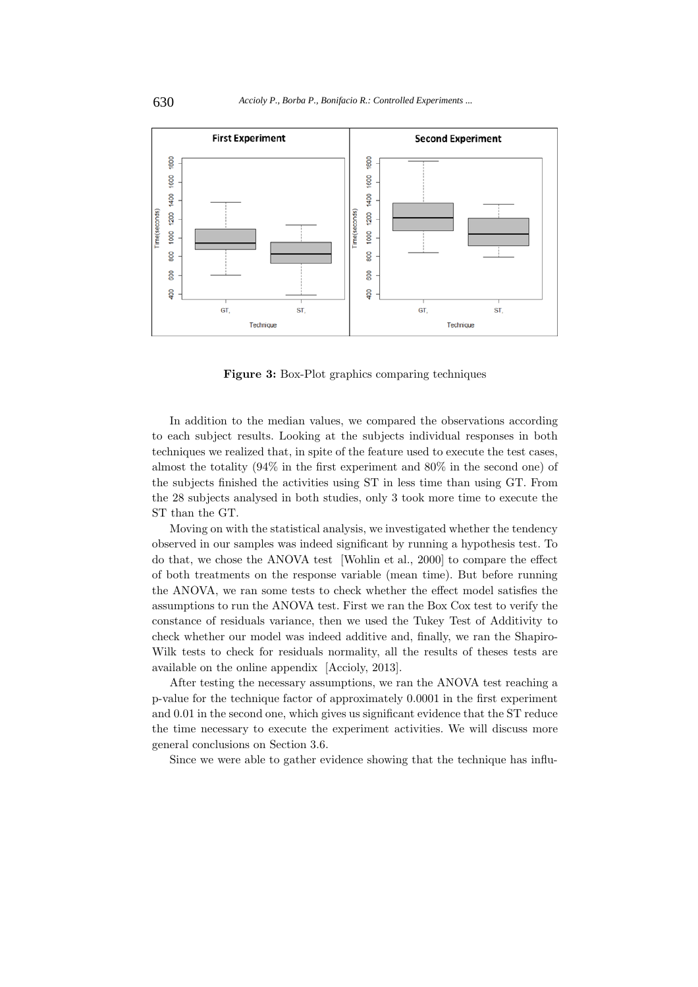

**Figure 3:** Box-Plot graphics comparing techniques

In addition to the median values, we compared the observations according to each subject results. Looking at the subjects individual responses in both techniques we realized that, in spite of the feature used to execute the test cases, almost the totality (94% in the first experiment and 80% in the second one) of the subjects finished the activities using ST in less time than using GT. From the 28 subjects analysed in both studies, only 3 took more time to execute the ST than the GT.

Moving on with the statistical analysis, we investigated whether the tendency observed in our samples was indeed significant by running a hypothesis test. To do that, we chose the ANOVA test [Wohlin et al., 2000] to compare the effect of both treatments on the response variable (mean time). But before running the ANOVA, we ran some tests to check whether the effect model satisfies the assumptions to run the ANOVA test. First we ran the Box Cox test to verify the constance of residuals variance, then we used the Tukey Test of Additivity to check whether our model was indeed additive and, finally, we ran the Shapiro-Wilk tests to check for residuals normality, all the results of theses tests are available on the online appendix [Accioly, 2013].

After testing the necessary assumptions, we ran the ANOVA test reaching a p-value for the technique factor of approximately 0.0001 in the first experiment and 0.01 in the second one, which gives us significant evidence that the ST reduce the time necessary to execute the experiment activities. We will discuss more general conclusions on Section 3.6.

Since we were able to gather evidence showing that the technique has influ-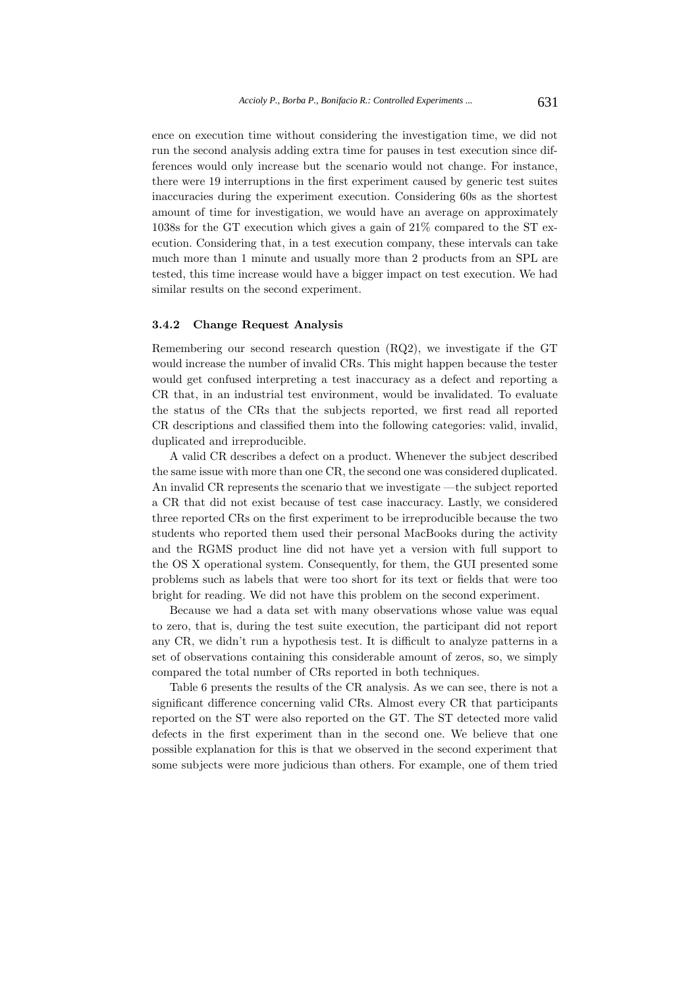ence on execution time without considering the investigation time, we did not run the second analysis adding extra time for pauses in test execution since differences would only increase but the scenario would not change. For instance, there were 19 interruptions in the first experiment caused by generic test suites inaccuracies during the experiment execution. Considering 60s as the shortest amount of time for investigation, we would have an average on approximately 1038s for the GT execution which gives a gain of 21% compared to the ST execution. Considering that, in a test execution company, these intervals can take much more than 1 minute and usually more than 2 products from an SPL are tested, this time increase would have a bigger impact on test execution. We had similar results on the second experiment.

### **3.4.2 Change Request Analysis**

Remembering our second research question (RQ2), we investigate if the GT would increase the number of invalid CRs. This might happen because the tester would get confused interpreting a test inaccuracy as a defect and reporting a CR that, in an industrial test environment, would be invalidated. To evaluate the status of the CRs that the subjects reported, we first read all reported CR descriptions and classified them into the following categories: valid, invalid, duplicated and irreproducible.

A valid CR describes a defect on a product. Whenever the subject described the same issue with more than one CR, the second one was considered duplicated. An invalid CR represents the scenario that we investigate —the subject reported a CR that did not exist because of test case inaccuracy. Lastly, we considered three reported CRs on the first experiment to be irreproducible because the two students who reported them used their personal MacBooks during the activity and the RGMS product line did not have yet a version with full support to the OS X operational system. Consequently, for them, the GUI presented some problems such as labels that were too short for its text or fields that were too bright for reading. We did not have this problem on the second experiment.

Because we had a data set with many observations whose value was equal to zero, that is, during the test suite execution, the participant did not report any CR, we didn't run a hypothesis test. It is difficult to analyze patterns in a set of observations containing this considerable amount of zeros, so, we simply compared the total number of CRs reported in both techniques.

Table 6 presents the results of the CR analysis. As we can see, there is not a significant difference concerning valid CRs. Almost every CR that participants reported on the ST were also reported on the GT. The ST detected more valid defects in the first experiment than in the second one. We believe that one possible explanation for this is that we observed in the second experiment that some subjects were more judicious than others. For example, one of them tried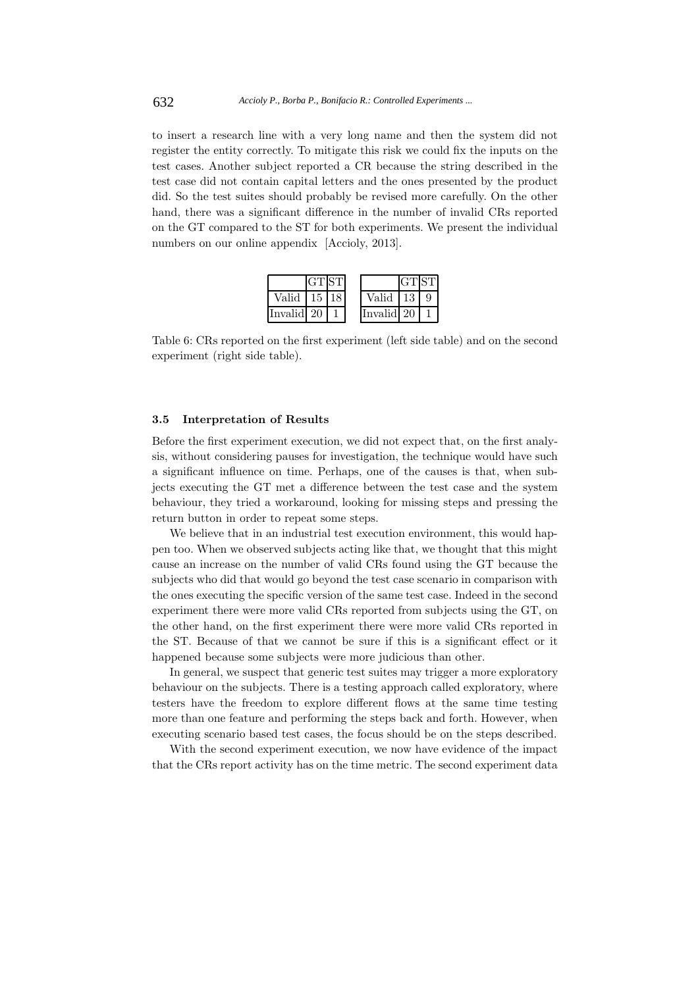to insert a research line with a very long name and then the system did not register the entity correctly. To mitigate this risk we could fix the inputs on the test cases. Another subject reported a CR because the string described in the test case did not contain capital letters and the ones presented by the product did. So the test suites should probably be revised more carefully. On the other hand, there was a significant difference in the number of invalid CRs reported on the GT compared to the ST for both experiments. We present the individual numbers on our online appendix [Accioly, 2013].



Table 6: CRs reported on the first experiment (left side table) and on the second experiment (right side table).

#### **3.5 Interpretation of Results**

Before the first experiment execution, we did not expect that, on the first analysis, without considering pauses for investigation, the technique would have such a significant influence on time. Perhaps, one of the causes is that, when subjects executing the GT met a difference between the test case and the system behaviour, they tried a workaround, looking for missing steps and pressing the return button in order to repeat some steps.

We believe that in an industrial test execution environment, this would happen too. When we observed subjects acting like that, we thought that this might cause an increase on the number of valid CRs found using the GT because the subjects who did that would go beyond the test case scenario in comparison with the ones executing the specific version of the same test case. Indeed in the second experiment there were more valid CRs reported from subjects using the GT, on the other hand, on the first experiment there were more valid CRs reported in the ST. Because of that we cannot be sure if this is a significant effect or it happened because some subjects were more judicious than other.

In general, we suspect that generic test suites may trigger a more exploratory behaviour on the subjects. There is a testing approach called exploratory, where testers have the freedom to explore different flows at the same time testing more than one feature and performing the steps back and forth. However, when executing scenario based test cases, the focus should be on the steps described.

With the second experiment execution, we now have evidence of the impact that the CRs report activity has on the time metric. The second experiment data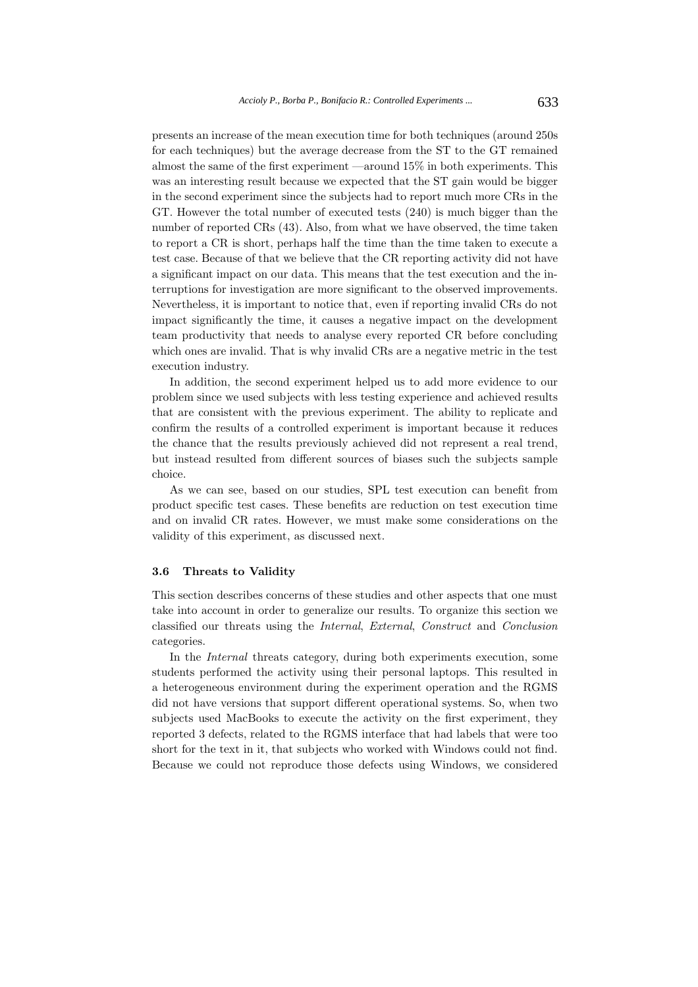presents an increase of the mean execution time for both techniques (around 250s for each techniques) but the average decrease from the ST to the GT remained almost the same of the first experiment —around 15% in both experiments. This was an interesting result because we expected that the ST gain would be bigger in the second experiment since the subjects had to report much more CRs in the GT. However the total number of executed tests (240) is much bigger than the number of reported CRs (43). Also, from what we have observed, the time taken to report a CR is short, perhaps half the time than the time taken to execute a test case. Because of that we believe that the CR reporting activity did not have a significant impact on our data. This means that the test execution and the interruptions for investigation are more significant to the observed improvements. Nevertheless, it is important to notice that, even if reporting invalid CRs do not impact significantly the time, it causes a negative impact on the development team productivity that needs to analyse every reported CR before concluding which ones are invalid. That is why invalid CRs are a negative metric in the test execution industry.

In addition, the second experiment helped us to add more evidence to our problem since we used subjects with less testing experience and achieved results that are consistent with the previous experiment. The ability to replicate and confirm the results of a controlled experiment is important because it reduces the chance that the results previously achieved did not represent a real trend, but instead resulted from different sources of biases such the subjects sample choice.

As we can see, based on our studies, SPL test execution can benefit from product specific test cases. These benefits are reduction on test execution time and on invalid CR rates. However, we must make some considerations on the validity of this experiment, as discussed next.

#### **3.6 Threats to Validity**

This section describes concerns of these studies and other aspects that one must take into account in order to generalize our results. To organize this section we classified our threats using the *Internal*, *External*, *Construct* and *Conclusion* categories.

In the *Internal* threats category, during both experiments execution, some students performed the activity using their personal laptops. This resulted in a heterogeneous environment during the experiment operation and the RGMS did not have versions that support different operational systems. So, when two subjects used MacBooks to execute the activity on the first experiment, they reported 3 defects, related to the RGMS interface that had labels that were too short for the text in it, that subjects who worked with Windows could not find. Because we could not reproduce those defects using Windows, we considered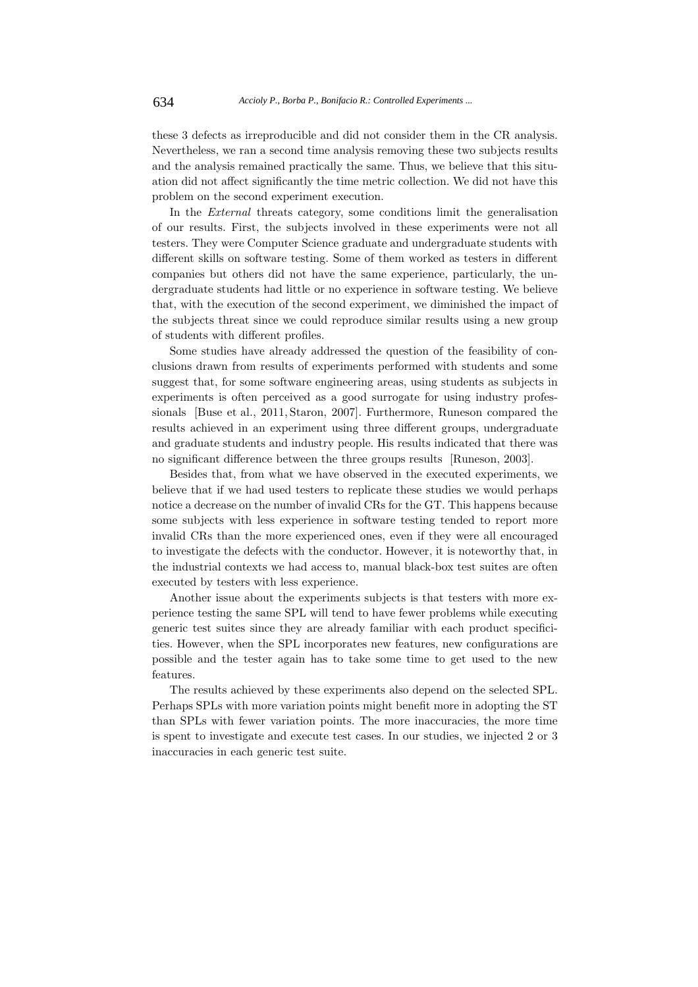these 3 defects as irreproducible and did not consider them in the CR analysis. Nevertheless, we ran a second time analysis removing these two subjects results and the analysis remained practically the same. Thus, we believe that this situation did not affect significantly the time metric collection. We did not have this problem on the second experiment execution.

In the *External* threats category, some conditions limit the generalisation of our results. First, the subjects involved in these experiments were not all testers. They were Computer Science graduate and undergraduate students with different skills on software testing. Some of them worked as testers in different companies but others did not have the same experience, particularly, the undergraduate students had little or no experience in software testing. We believe that, with the execution of the second experiment, we diminished the impact of the subjects threat since we could reproduce similar results using a new group of students with different profiles.

Some studies have already addressed the question of the feasibility of conclusions drawn from results of experiments performed with students and some suggest that, for some software engineering areas, using students as subjects in experiments is often perceived as a good surrogate for using industry professionals [Buse et al., 2011, Staron, 2007]. Furthermore, Runeson compared the results achieved in an experiment using three different groups, undergraduate and graduate students and industry people. His results indicated that there was no significant difference between the three groups results [Runeson, 2003].

Besides that, from what we have observed in the executed experiments, we believe that if we had used testers to replicate these studies we would perhaps notice a decrease on the number of invalid CRs for the GT. This happens because some subjects with less experience in software testing tended to report more invalid CRs than the more experienced ones, even if they were all encouraged to investigate the defects with the conductor. However, it is noteworthy that, in the industrial contexts we had access to, manual black-box test suites are often executed by testers with less experience.

Another issue about the experiments subjects is that testers with more experience testing the same SPL will tend to have fewer problems while executing generic test suites since they are already familiar with each product specificities. However, when the SPL incorporates new features, new configurations are possible and the tester again has to take some time to get used to the new features.

The results achieved by these experiments also depend on the selected SPL. Perhaps SPLs with more variation points might benefit more in adopting the ST than SPLs with fewer variation points. The more inaccuracies, the more time is spent to investigate and execute test cases. In our studies, we injected 2 or 3 inaccuracies in each generic test suite.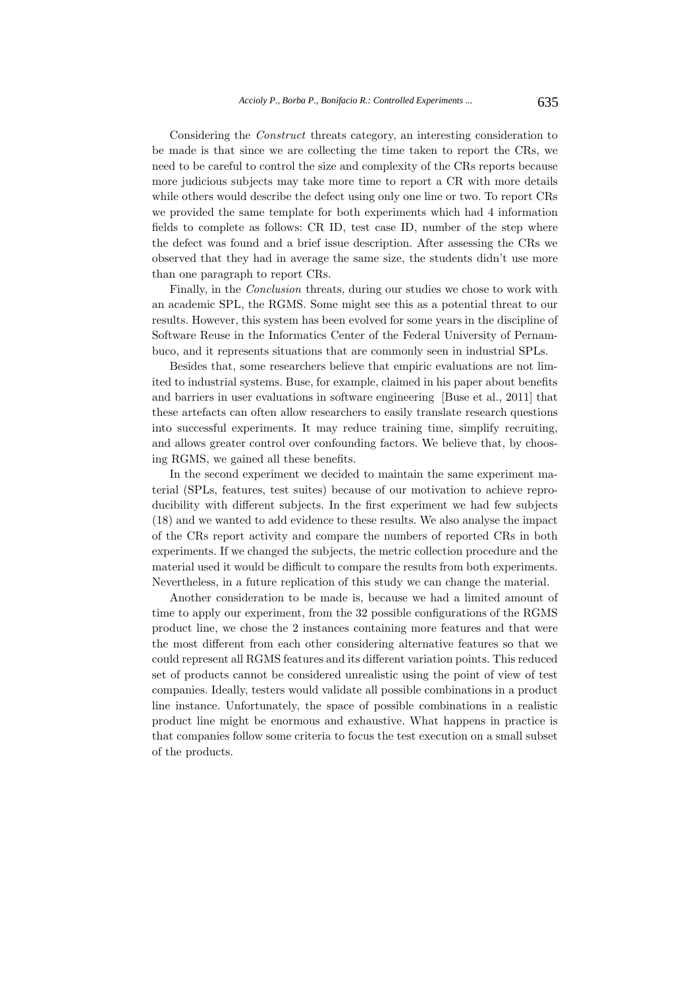Considering the *Construct* threats category, an interesting consideration to be made is that since we are collecting the time taken to report the CRs, we need to be careful to control the size and complexity of the CRs reports because more judicious subjects may take more time to report a CR with more details while others would describe the defect using only one line or two. To report CRs we provided the same template for both experiments which had 4 information fields to complete as follows: CR ID, test case ID, number of the step where the defect was found and a brief issue description. After assessing the CRs we observed that they had in average the same size, the students didn't use more than one paragraph to report CRs.

Finally, in the *Conclusion* threats, during our studies we chose to work with an academic SPL, the RGMS. Some might see this as a potential threat to our results. However, this system has been evolved for some years in the discipline of Software Reuse in the Informatics Center of the Federal University of Pernambuco, and it represents situations that are commonly seen in industrial SPLs.

Besides that, some researchers believe that empiric evaluations are not limited to industrial systems. Buse, for example, claimed in his paper about benefits and barriers in user evaluations in software engineering [Buse et al., 2011] that these artefacts can often allow researchers to easily translate research questions into successful experiments. It may reduce training time, simplify recruiting, and allows greater control over confounding factors. We believe that, by choosing RGMS, we gained all these benefits.

In the second experiment we decided to maintain the same experiment material (SPLs, features, test suites) because of our motivation to achieve reproducibility with different subjects. In the first experiment we had few subjects (18) and we wanted to add evidence to these results. We also analyse the impact of the CRs report activity and compare the numbers of reported CRs in both experiments. If we changed the subjects, the metric collection procedure and the material used it would be difficult to compare the results from both experiments. Nevertheless, in a future replication of this study we can change the material.

Another consideration to be made is, because we had a limited amount of time to apply our experiment, from the 32 possible configurations of the RGMS product line, we chose the 2 instances containing more features and that were the most different from each other considering alternative features so that we could represent all RGMS features and its different variation points. This reduced set of products cannot be considered unrealistic using the point of view of test companies. Ideally, testers would validate all possible combinations in a product line instance. Unfortunately, the space of possible combinations in a realistic product line might be enormous and exhaustive. What happens in practice is that companies follow some criteria to focus the test execution on a small subset of the products.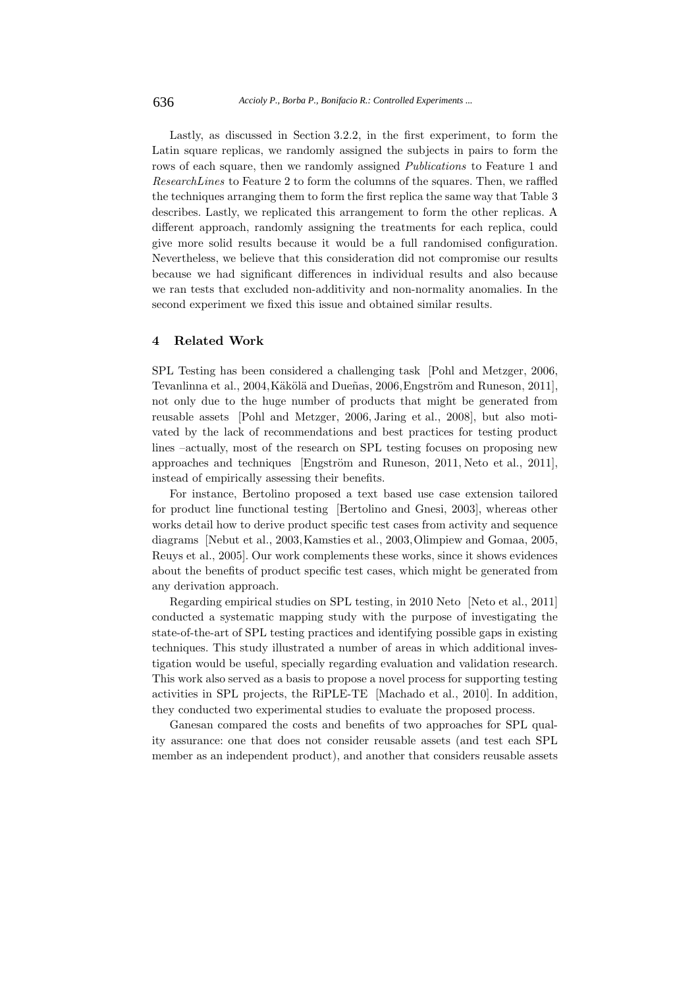Lastly, as discussed in Section 3.2.2, in the first experiment, to form the Latin square replicas, we randomly assigned the subjects in pairs to form the rows of each square, then we randomly assigned *Publications* to Feature 1 and *ResearchLines* to Feature 2 to form the columns of the squares. Then, we raffled the techniques arranging them to form the first replica the same way that Table 3 describes. Lastly, we replicated this arrangement to form the other replicas. A different approach, randomly assigning the treatments for each replica, could give more solid results because it would be a full randomised configuration. Nevertheless, we believe that this consideration did not compromise our results because we had significant differences in individual results and also because we ran tests that excluded non-additivity and non-normality anomalies. In the second experiment we fixed this issue and obtained similar results.

## **4 Related Work**

SPL Testing has been considered a challenging task [Pohl and Metzger, 2006, Tevanlinna et al., 2004, Käkölä and Dueñas, 2006, Engström and Runeson, 2011], not only due to the huge number of products that might be generated from reusable assets [Pohl and Metzger, 2006, Jaring et al., 2008], but also motivated by the lack of recommendations and best practices for testing product lines –actually, most of the research on SPL testing focuses on proposing new approaches and techniques [Engström and Runeson,  $2011$ , Neto et al.,  $2011$ ], instead of empirically assessing their benefits.

For instance, Bertolino proposed a text based use case extension tailored for product line functional testing [Bertolino and Gnesi, 2003], whereas other works detail how to derive product specific test cases from activity and sequence diagrams [Nebut et al., 2003,Kamsties et al., 2003,Olimpiew and Gomaa, 2005, Reuys et al., 2005]. Our work complements these works, since it shows evidences about the benefits of product specific test cases, which might be generated from any derivation approach.

Regarding empirical studies on SPL testing, in 2010 Neto [Neto et al., 2011] conducted a systematic mapping study with the purpose of investigating the state-of-the-art of SPL testing practices and identifying possible gaps in existing techniques. This study illustrated a number of areas in which additional investigation would be useful, specially regarding evaluation and validation research. This work also served as a basis to propose a novel process for supporting testing activities in SPL projects, the RiPLE-TE [Machado et al., 2010]. In addition, they conducted two experimental studies to evaluate the proposed process.

Ganesan compared the costs and benefits of two approaches for SPL quality assurance: one that does not consider reusable assets (and test each SPL member as an independent product), and another that considers reusable assets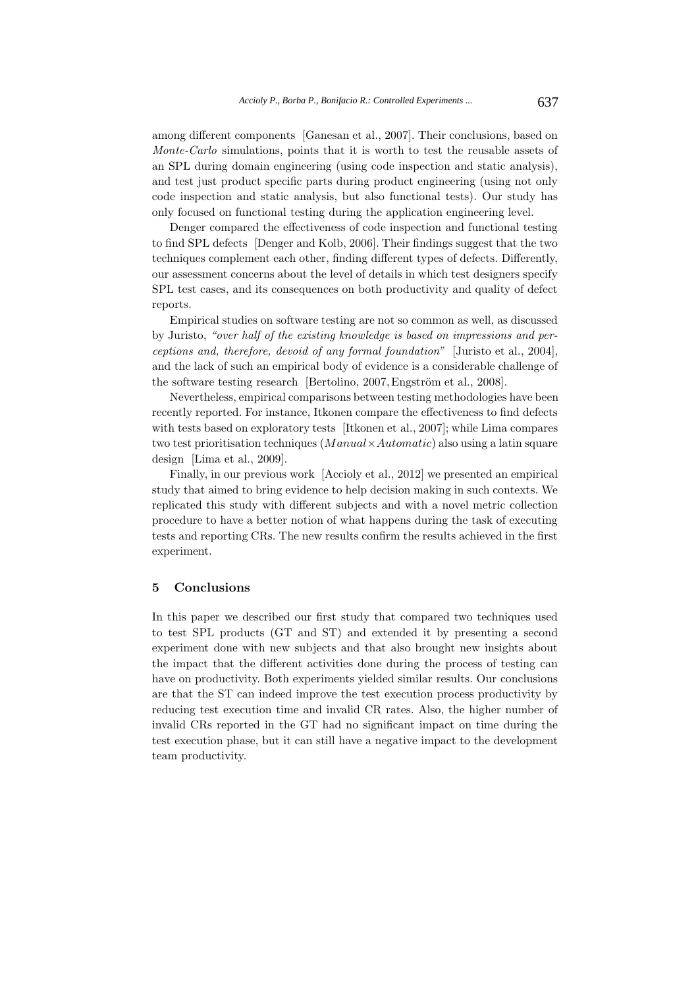among different components [Ganesan et al., 2007]. Their conclusions, based on *Monte-Carlo* simulations, points that it is worth to test the reusable assets of an SPL during domain engineering (using code inspection and static analysis), and test just product specific parts during product engineering (using not only code inspection and static analysis, but also functional tests). Our study has only focused on functional testing during the application engineering level.

Denger compared the effectiveness of code inspection and functional testing to find SPL defects [Denger and Kolb, 2006]. Their findings suggest that the two techniques complement each other, finding different types of defects. Differently, our assessment concerns about the level of details in which test designers specify SPL test cases, and its consequences on both productivity and quality of defect reports.

Empirical studies on software testing are not so common as well, as discussed by Juristo, *"over half of the existing knowledge is based on impressions and perceptions and, therefore, devoid of any formal foundation"* [Juristo et al., 2004], and the lack of such an empirical body of evidence is a considerable challenge of the software testing research [Bertolino,  $2007$ , Engström et al.,  $2008$ ].

Nevertheless, empirical comparisons between testing methodologies have been recently reported. For instance, Itkonen compare the effectiveness to find defects with tests based on exploratory tests [Itkonen et al., 2007]; while Lima compares two test prioritisation techniques (*M anual×Automatic*) also using a latin square design [Lima et al., 2009].

Finally, in our previous work [Accioly et al., 2012] we presented an empirical study that aimed to bring evidence to help decision making in such contexts. We replicated this study with different subjects and with a novel metric collection procedure to have a better notion of what happens during the task of executing tests and reporting CRs. The new results confirm the results achieved in the first experiment.

# **5 Conclusions**

In this paper we described our first study that compared two techniques used to test SPL products (GT and ST) and extended it by presenting a second experiment done with new subjects and that also brought new insights about the impact that the different activities done during the process of testing can have on productivity. Both experiments yielded similar results. Our conclusions are that the ST can indeed improve the test execution process productivity by reducing test execution time and invalid CR rates. Also, the higher number of invalid CRs reported in the GT had no significant impact on time during the test execution phase, but it can still have a negative impact to the development team productivity.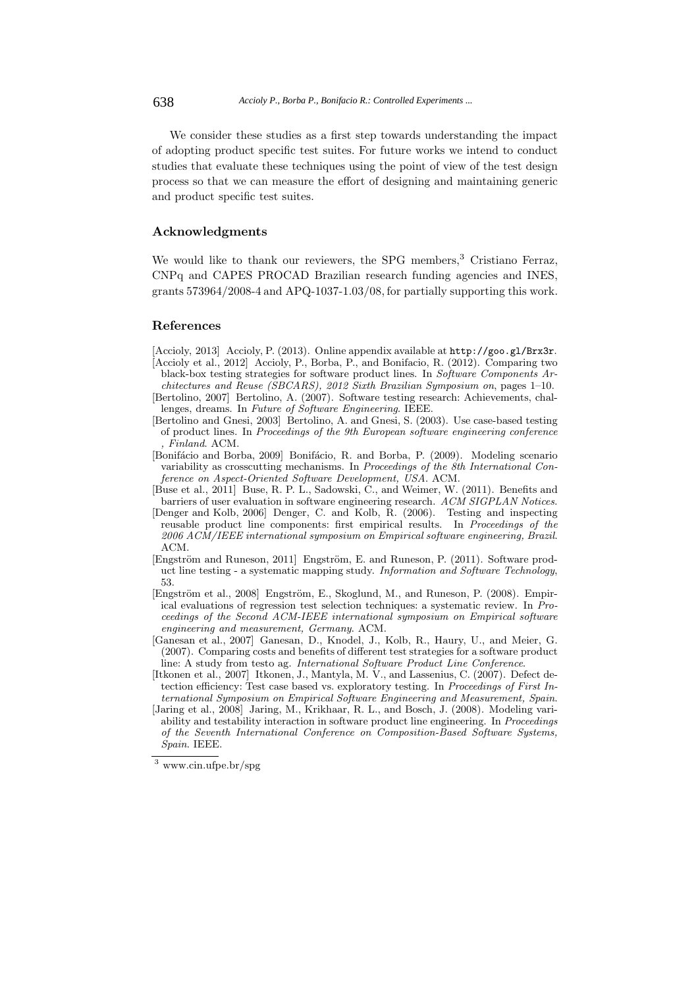We consider these studies as a first step towards understanding the impact of adopting product specific test suites. For future works we intend to conduct studies that evaluate these techniques using the point of view of the test design process so that we can measure the effort of designing and maintaining generic and product specific test suites.

## **Acknowledgments**

We would like to thank our reviewers, the SPG members,<sup>3</sup> Cristiano Ferraz, CNPq and CAPES PROCAD Brazilian research funding agencies and INES, grants 573964/2008-4 and APQ-1037-1.03/08, for partially supporting this work.

## **References**

[Accioly, 2013] Accioly, P. (2013). Online appendix available at http://goo.gl/Brx3r.

- [Accioly et al., 2012] Accioly, P., Borba, P., and Bonifacio, R. (2012). Comparing two black-box testing strategies for software product lines. In *Software Components Architectures and Reuse (SBCARS), 2012 Sixth Brazilian Symposium on*, pages 1–10.
- [Bertolino, 2007] Bertolino, A. (2007). Software testing research: Achievements, challenges, dreams. In *Future of Software Engineering*. IEEE.
- [Bertolino and Gnesi, 2003] Bertolino, A. and Gnesi, S. (2003). Use case-based testing of product lines. In *Proceedings of the 9th European software engineering conference , Finland*. ACM.
- [Bonifácio and Borba, 2009] Bonifácio, R. and Borba, P. (2009). Modeling scenario variability as crosscutting mechanisms. In *Proceedings of the 8th International Conference on Aspect-Oriented Software Development, USA*. ACM.
- [Buse et al., 2011] Buse, R. P. L., Sadowski, C., and Weimer, W. (2011). Benefits and barriers of user evaluation in software engineering research. *ACM SIGPLAN Notices*.
- [Denger and Kolb, 2006] Denger, C. and Kolb, R. (2006). Testing and inspecting reusable product line components: first empirical results. In *Proceedings of the 2006 ACM/IEEE international symposium on Empirical software engineering, Brazil*. ACM.
- [Engström and Runeson, 2011] Engström, E. and Runeson, P. (2011). Software product line testing - a systematic mapping study. *Information and Software Technology*, 53.
- [Engström et al., 2008] Engström, E., Skoglund, M., and Runeson, P. (2008). Empirical evaluations of regression test selection techniques: a systematic review. In *Proceedings of the Second ACM-IEEE international symposium on Empirical software engineering and measurement, Germany*. ACM.
- [Ganesan et al., 2007] Ganesan, D., Knodel, J., Kolb, R., Haury, U., and Meier, G. (2007). Comparing costs and benefits of different test strategies for a software product line: A study from testo ag. *International Software Product Line Conference*.
- [Itkonen et al., 2007] Itkonen, J., Mantyla, M. V., and Lassenius, C. (2007). Defect detection efficiency: Test case based vs. exploratory testing. In *Proceedings of First International Symposium on Empirical Software Engineering and Measurement, Spain*.
- [Jaring et al., 2008] Jaring, M., Krikhaar, R. L., and Bosch, J. (2008). Modeling variability and testability interaction in software product line engineering. In *Proceedings of the Seventh International Conference on Composition-Based Software Systems, Spain*. IEEE.

<sup>3</sup> www.cin.ufpe.br/spg